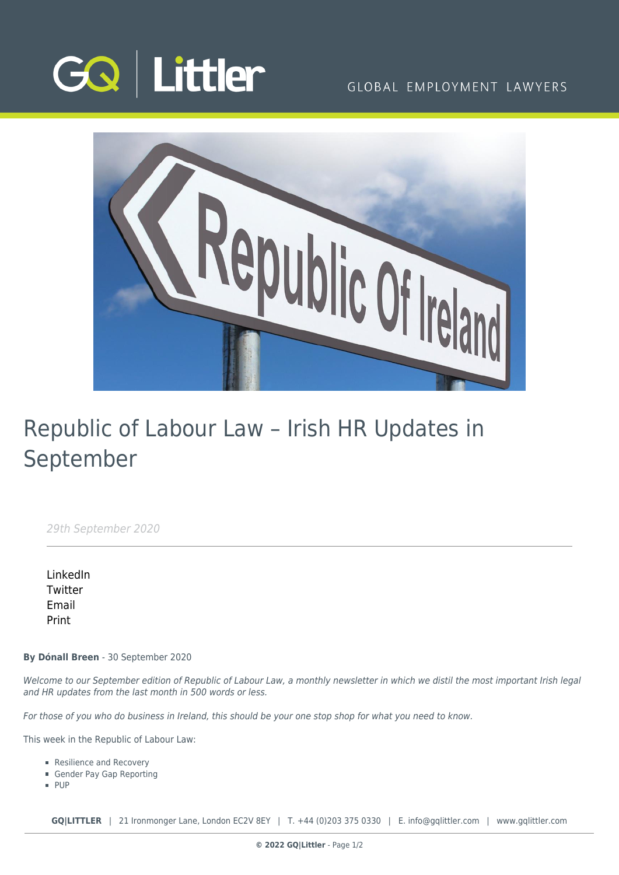

# GLOBAL EMPLOYMENT LAWYERS



# Republic of Labour Law – Irish HR Updates in September

29th September 2020

[LinkedIn](https://www.linkedin.com/shareArticle?mini=true&url=https%3A%2F%2Fwww.gqlittler.com%2Fresources%2Fnews-and-views%2Frepublic-of-labour-law-irish-hr-updates-in-september.htm%3Funlock%3Dtrue&title=Republic+of+Labour+Law+%E2%80%93+Irish+HR+Updates+in+September&summary=Welcome+to+our+September+edition+of+Republic+of+Labour+Law%2C+a+monthly+newsletter+in+which+we+distil+the+most+important+Irish+legal+and+HR+updates+from+the+last+month+in+500+words+or+less.&source=GQ+%7C+Littler) **[Twitter](https://twitter.com/share?text=Republic+of+Labour+Law+%E2%80%93+Irish+HR+Updates+in+September&url=https%3A%2F%2Fwww.gqlittler.com%2Fresources%2Fnews-and-views%2Frepublic-of-labour-law-irish-hr-updates-in-september.htm&hashtags=)** [Email](mailto:?subject=Republic of Labour Law – Irish HR Updates in September&body=I) [Print](https://www.bg-pdf.co.uk/_GQ/page.php?M=6148523063484d364c793933643363755a33467361585230624756794c6d4e76625339795a584e7664584a6a5a584d76626d563363793168626d5174646d6c6c64334d76636d567764574a7361574d746232597462474669623356794c57786864793170636d6c7a6143316f63693131634752686447567a4c576c754c584e6c6348526c62574a6c6369356f6447306a51434e535a584231596d7870597942765a69424d59574a766458496754474633494f4b416b79424a636d6c7a6143424955694256634752686447567a49476c7549464e6c6348526c62574a6c63694e4149334a6c6348566962476c6a4c57396d4c577868596d3931636931735958637461584a7063326774614849746458426b5958526c637931706269317a5a5842305a5731695a58493d)

**By Dónall Breen** - 30 September 2020

Welcome to our September edition of Republic of Labour Law, a monthly newsletter in which we distil the most important Irish legal and HR updates from the last month in 500 words or less.

For those of you who do business in Ireland, this should be your one stop shop for what you need to know.

This week in the Republic of Labour Law:

- Resilience and Recovery
- Gender Pay Gap Reporting
- **PUP**

**GQ|LITTLER** | 21 Ironmonger Lane, London EC2V 8EY | T. [+44 \(0\)203 375 0330](https://www.bg-pdf.co.uk/_GQ/tel:+442033750330) | E. [info@gqlittler.com](mailto:info@gqlittler.com) | [www.gqlittler.com](https://www.gqlittler.com)